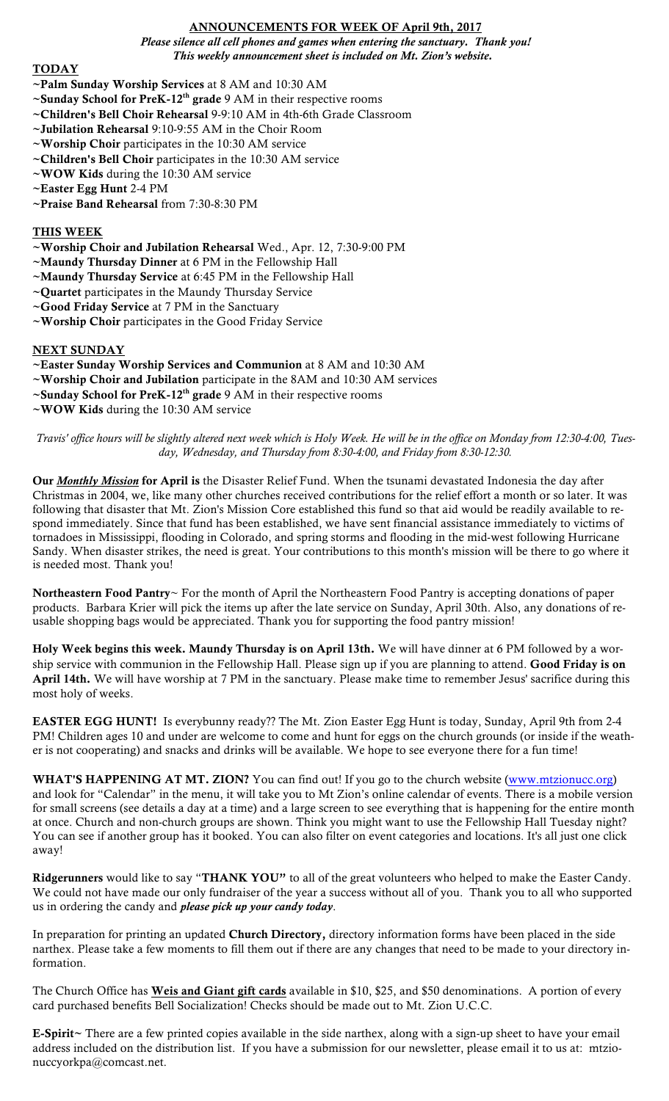# ANNOUNCEMENTS FOR WEEK OF April 9th, 2017

*Please silence all cell phones and games when entering the sanctuary. Thank you! This weekly announcement sheet is included on Mt. Zion's website.*

## TODAY

- ~Palm Sunday Worship Services at 8 AM and 10:30 AM
- $\sim$ Sunday School for PreK-12<sup>th</sup> grade 9 AM in their respective rooms
- ~Children's Bell Choir Rehearsal 9-9:10 AM in 4th-6th Grade Classroom
- ~Jubilation Rehearsal 9:10-9:55 AM in the Choir Room
- ~Worship Choir participates in the 10:30 AM service
- ~Children's Bell Choir participates in the 10:30 AM service
- ~WOW Kids during the 10:30 AM service
- ~Easter Egg Hunt 2-4 PM
- ~Praise Band Rehearsal from 7:30-8:30 PM

### THIS WEEK

- ~Worship Choir and Jubilation Rehearsal Wed., Apr. 12, 7:30-9:00 PM
- ~Maundy Thursday Dinner at 6 PM in the Fellowship Hall
- ~Maundy Thursday Service at 6:45 PM in the Fellowship Hall
- ~Quartet participates in the Maundy Thursday Service
- ~Good Friday Service at 7 PM in the Sanctuary
- ~Worship Choir participates in the Good Friday Service

## NEXT SUNDAY

- ~Easter Sunday Worship Services and Communion at 8 AM and 10:30 AM
- ~Worship Choir and Jubilation participate in the 8AM and 10:30 AM services
- ~Sunday School for PreK-12<sup>th</sup> grade 9 AM in their respective rooms
- ~WOW Kids during the 10:30 AM service

*Travis' office hours will be slightly altered next week which is Holy Week. He will be in the office on Monday from 12:30-4:00, Tuesday, Wednesday, and Thursday from 8:30-4:00, and Friday from 8:30-12:30.*

Our *Monthly Mission* for April is the Disaster Relief Fund. When the tsunami devastated Indonesia the day after Christmas in 2004, we, like many other churches received contributions for the relief effort a month or so later. It was following that disaster that Mt. Zion's Mission Core established this fund so that aid would be readily available to respond immediately. Since that fund has been established, we have sent financial assistance immediately to victims of tornadoes in Mississippi, flooding in Colorado, and spring storms and flooding in the mid-west following Hurricane Sandy. When disaster strikes, the need is great. Your contributions to this month's mission will be there to go where it is needed most. Thank you!

Northeastern Food Pantry~ For the month of April the Northeastern Food Pantry is accepting donations of paper products. Barbara Krier will pick the items up after the late service on Sunday, April 30th. Also, any donations of reusable shopping bags would be appreciated. Thank you for supporting the food pantry mission!

Holy Week begins this week. Maundy Thursday is on April 13th. We will have dinner at 6 PM followed by a worship service with communion in the Fellowship Hall. Please sign up if you are planning to attend. Good Friday is on April 14th. We will have worship at 7 PM in the sanctuary. Please make time to remember Jesus' sacrifice during this most holy of weeks.

EASTER EGG HUNT! Is everybunny ready?? The Mt. Zion Easter Egg Hunt is today, Sunday, April 9th from 2-4 PM! Children ages 10 and under are welcome to come and hunt for eggs on the church grounds (or inside if the weather is not cooperating) and snacks and drinks will be available. We hope to see everyone there for a fun time!

WHAT'S HAPPENING AT MT. ZION? You can find out! If you go to the church website (www.mtzionucc.org) and look for "Calendar" in the menu, it will take you to Mt Zion's online calendar of events. There is a mobile version for small screens (see details a day at a time) and a large screen to see everything that is happening for the entire month at once. Church and non-church groups are shown. Think you might want to use the Fellowship Hall Tuesday night? You can see if another group has it booked. You can also filter on event categories and locations. It's all just one click away!

Ridgerunners would like to say "THANK YOU" to all of the great volunteers who helped to make the Easter Candy. We could not have made our only fundraiser of the year a success without all of you. Thank you to all who supported us in ordering the candy and *please pick up your candy today*.

In preparation for printing an updated Church Directory, directory information forms have been placed in the side narthex. Please take a few moments to fill them out if there are any changes that need to be made to your directory information.

The Church Office has **Weis and Giant gift cards** available in \$10, \$25, and \$50 denominations. A portion of every card purchased benefits Bell Socialization! Checks should be made out to Mt. Zion U.C.C.

E-Spirit~ There are a few printed copies available in the side narthex, along with a sign-up sheet to have your email address included on the distribution list. If you have a submission for our newsletter, please email it to us at: mtzionuccyorkpa@comcast.net.